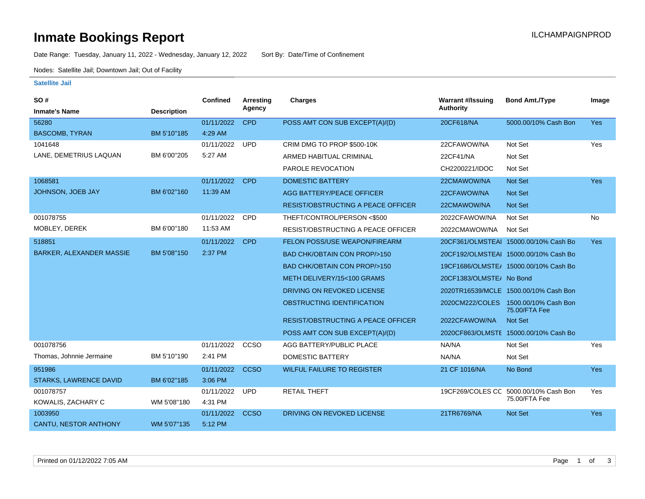# **Inmate Bookings Report Installation Control Control Control Control Control Control Control Control Control Control Control Control Control Control Control Control Control Control Control Control Control Control Control**

Date Range: Tuesday, January 11, 2022 - Wednesday, January 12, 2022 Sort By: Date/Time of Confinement

Nodes: Satellite Jail; Downtown Jail; Out of Facility

### **Satellite Jail**

| SO#                             |                    | <b>Confined</b> | Arresting   | Charges                                   | <b>Warrant #/Issuing</b> | <b>Bond Amt./Type</b>                                 | Image      |
|---------------------------------|--------------------|-----------------|-------------|-------------------------------------------|--------------------------|-------------------------------------------------------|------------|
| <b>Inmate's Name</b>            | <b>Description</b> |                 | Agency      |                                           | <b>Authority</b>         |                                                       |            |
| 56280                           |                    | 01/11/2022      | <b>CPD</b>  | POSS AMT CON SUB EXCEPT(A)/(D)            | 20CF618/NA               | 5000.00/10% Cash Bon                                  | <b>Yes</b> |
| <b>BASCOMB, TYRAN</b>           | BM 5'10"185        | 4:29 AM         |             |                                           |                          |                                                       |            |
| 1041648                         |                    | 01/11/2022      | <b>UPD</b>  | CRIM DMG TO PROP \$500-10K                | 22CFAWOW/NA              | Not Set                                               | Yes        |
| LANE, DEMETRIUS LAQUAN          | BM 6'00"205        | 5:27 AM         |             | ARMED HABITUAL CRIMINAL                   | 22CF41/NA                | Not Set                                               |            |
|                                 |                    |                 |             | PAROLE REVOCATION                         | CH2200221/IDOC           | Not Set                                               |            |
| 1068581                         |                    | 01/11/2022      | <b>CPD</b>  | <b>DOMESTIC BATTERY</b>                   | 22CMAWOW/NA              | <b>Not Set</b>                                        | <b>Yes</b> |
| JOHNSON, JOEB JAY               | BM 6'02"160        | 11:39 AM        |             | AGG BATTERY/PEACE OFFICER                 | 22CFAWOW/NA              | Not Set                                               |            |
|                                 |                    |                 |             | <b>RESIST/OBSTRUCTING A PEACE OFFICER</b> | 22CMAWOW/NA              | Not Set                                               |            |
| 001078755                       |                    | 01/11/2022      | <b>CPD</b>  | THEFT/CONTROL/PERSON <\$500               | 2022CFAWOW/NA            | Not Set                                               | No         |
| MOBLEY, DEREK                   | BM 6'00"180        | 11:53 AM        |             | RESIST/OBSTRUCTING A PEACE OFFICER        | 2022CMAWOW/NA            | Not Set                                               |            |
| 518851                          |                    | 01/11/2022      | <b>CPD</b>  | <b>FELON POSS/USE WEAPON/FIREARM</b>      |                          | 20CF361/OLMSTEAI 15000.00/10% Cash Bo                 | <b>Yes</b> |
| <b>BARKER, ALEXANDER MASSIE</b> | BM 5'08"150        | 2:37 PM         |             | <b>BAD CHK/OBTAIN CON PROP/&gt;150</b>    |                          | 20CF192/OLMSTEAI 15000.00/10% Cash Bo                 |            |
|                                 |                    |                 |             | <b>BAD CHK/OBTAIN CON PROP/&gt;150</b>    |                          | 19CF1686/OLMSTE/ 15000.00/10% Cash Bo                 |            |
|                                 |                    |                 |             | METH DELIVERY/15<100 GRAMS                | 20CF1383/OLMSTE/ No Bond |                                                       |            |
|                                 |                    |                 |             | DRIVING ON REVOKED LICENSE                |                          | 2020TR16539/MCLE 1500.00/10% Cash Bon                 |            |
|                                 |                    |                 |             | OBSTRUCTING IDENTIFICATION                |                          | 2020CM222/COLES 1500.00/10% Cash Bon<br>75.00/FTA Fee |            |
|                                 |                    |                 |             | <b>RESIST/OBSTRUCTING A PEACE OFFICER</b> | 2022CFAWOW/NA            | <b>Not Set</b>                                        |            |
|                                 |                    |                 |             | POSS AMT CON SUB EXCEPT(A)/(D)            |                          | 2020CF863/OLMSTE 15000.00/10% Cash Bo                 |            |
| 001078756                       |                    | 01/11/2022      | CCSO        | AGG BATTERY/PUBLIC PLACE                  | NA/NA                    | Not Set                                               | Yes        |
| Thomas, Johnnie Jermaine        | BM 5'10"190        | 2:41 PM         |             | DOMESTIC BATTERY                          | NA/NA                    | Not Set                                               |            |
| 951986                          |                    | 01/11/2022      | <b>CCSO</b> | <b>WILFUL FAILURE TO REGISTER</b>         | 21 CF 1016/NA            | No Bond                                               | <b>Yes</b> |
| STARKS, LAWRENCE DAVID          | BM 6'02"185        | 3:06 PM         |             |                                           |                          |                                                       |            |
| 001078757                       |                    | 01/11/2022      | <b>UPD</b>  | <b>RETAIL THEFT</b>                       |                          | 19CF269/COLES CC 5000.00/10% Cash Bon                 | Yes        |
| KOWALIS, ZACHARY C              | WM 5'08"180        | 4:31 PM         |             |                                           |                          | 75.00/FTA Fee                                         |            |
| 1003950                         |                    | 01/11/2022      | <b>CCSO</b> | DRIVING ON REVOKED LICENSE                | 21TR6769/NA              | <b>Not Set</b>                                        | <b>Yes</b> |
| CANTU, NESTOR ANTHONY           | WM 5'07"135        | 5:12 PM         |             |                                           |                          |                                                       |            |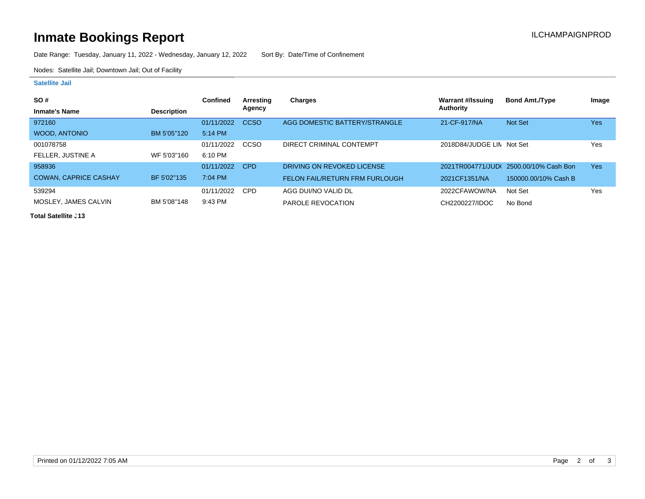# **Inmate Bookings Report Installation Control Control Control Control Control Control Control Control Control Control Control Control Control Control Control Control Control Control Control Control Control Control Control**

Date Range: Tuesday, January 11, 2022 - Wednesday, January 12, 2022 Sort By: Date/Time of Confinement

Nodes: Satellite Jail; Downtown Jail; Out of Facility

### **Satellite Jail**

| <b>SO#</b>                   |                    | <b>Confined</b> | Arresting  | Charges                               | Warrant #/Issuing         | <b>Bond Amt./Type</b>                 | Image |
|------------------------------|--------------------|-----------------|------------|---------------------------------------|---------------------------|---------------------------------------|-------|
| <b>Inmate's Name</b>         | <b>Description</b> |                 | Agency     |                                       | <b>Authority</b>          |                                       |       |
| 972160                       |                    | 01/11/2022      | CCSO       | AGG DOMESTIC BATTERY/STRANGLE         | 21-CF-917/NA              | Not Set                               | Yes   |
| WOOD, ANTONIO                | BM 5'05"120        | $5:14$ PM       |            |                                       |                           |                                       |       |
| 001078758                    |                    | 01/11/2022      | CCSO       | DIRECT CRIMINAL CONTEMPT              | 2018D84/JUDGE LIN Not Set |                                       | Yes   |
| FELLER. JUSTINE A            | WF 5'03"160        | 6:10 PM         |            |                                       |                           |                                       |       |
| 958936                       |                    | 01/11/2022      | <b>CPD</b> | DRIVING ON REVOKED LICENSE            |                           | 2021TR004771/JUD(2500.00/10% Cash Bon | Yes   |
| <b>COWAN, CAPRICE CASHAY</b> | BF 5'02"135        | 7:04 PM         |            | <b>FELON FAIL/RETURN FRM FURLOUGH</b> | 2021CF1351/NA             | 150000.00/10% Cash B                  |       |
| 539294                       |                    | 01/11/2022      | <b>CPD</b> | AGG DUI/NO VALID DL                   | 2022CFAWOW/NA             | Not Set                               | Yes   |
| MOSLEY, JAMES CALVIN         | BM 5'08"148        | $9:43$ PM       |            | PAROLE REVOCATION                     | CH2200227/IDOC            | No Bond                               |       |

**Total Satellite . 13**